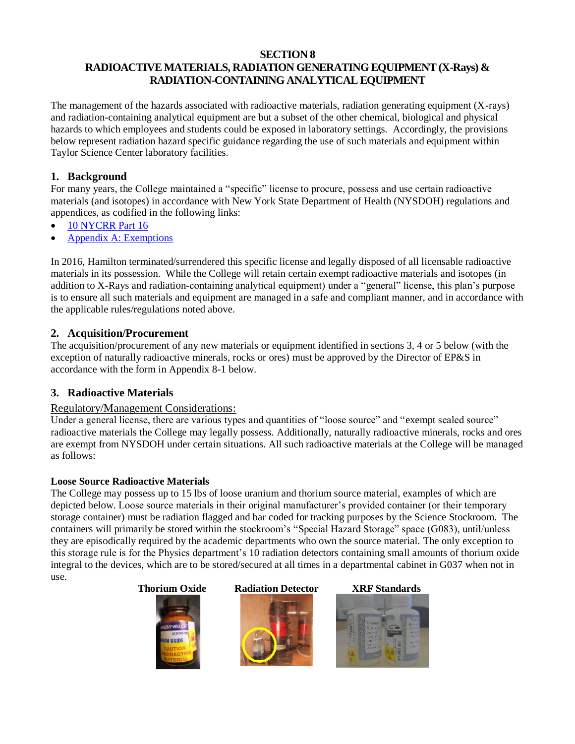#### **SECTION 8**

# **RADIOACTIVE MATERIALS, RADIATION GENERATING EQUIPMENT (X-Rays) & RADIATION-CONTAINING ANALYTICAL EQUIPMENT**

The management of the hazards associated with radioactive materials, radiation generating equipment (X-rays) and radiation-containing analytical equipment are but a subset of the other chemical, biological and physical hazards to which employees and students could be exposed in laboratory settings. Accordingly, the provisions below represent radiation hazard specific guidance regarding the use of such materials and equipment within Taylor Science Center laboratory facilities.

## **1. Background**

For many years, the College maintained a "specific" license to procure, possess and use certain radioactive materials (and isotopes) in accordance with New York State Department of Health (NYSDOH) regulations and appendices, as codified in the following links:

- [10 NYCRR Part 16](https://www.health.ny.gov/environmental/radiological/radon/radioactive_material_licensing/docs/part16.pdf)
- [Appendix A: Exemptions](https://www.health.ny.gov/environmental/radiological/radon/radioactive_material_licensing/docs/part16_appenda.pdf)

In 2016, Hamilton terminated/surrendered this specific license and legally disposed of all licensable radioactive materials in its possession. While the College will retain certain exempt radioactive materials and isotopes (in addition to X-Rays and radiation-containing analytical equipment) under a "general" license, this plan's purpose is to ensure all such materials and equipment are managed in a safe and compliant manner, and in accordance with the applicable rules/regulations noted above.

# **2. Acquisition/Procurement**

The acquisition/procurement of any new materials or equipment identified in sections 3, 4 or 5 below (with the exception of naturally radioactive minerals, rocks or ores) must be approved by the Director of EP&S in accordance with the form in Appendix 8-1 below.

# **3. Radioactive Materials**

## Regulatory/Management Considerations:

Under a general license, there are various types and quantities of "loose source" and "exempt sealed source" radioactive materials the College may legally possess. Additionally, naturally radioactive minerals, rocks and ores are exempt from NYSDOH under certain situations. All such radioactive materials at the College will be managed as follows:

## **Loose Source Radioactive Materials**

The College may possess up to 15 lbs of loose uranium and thorium source material, examples of which are depicted below. Loose source materials in their original manufacturer's provided container (or their temporary storage container) must be radiation flagged and bar coded for tracking purposes by the Science Stockroom. The containers will primarily be stored within the stockroom's "Special Hazard Storage" space (G083), until/unless they are episodically required by the academic departments who own the source material. The only exception to this storage rule is for the Physics department's 10 radiation detectors containing small amounts of thorium oxide integral to the devices, which are to be stored/secured at all times in a departmental cabinet in G037 when not in use.

## **Thorium Oxide Radiation Detector XRF Standards**





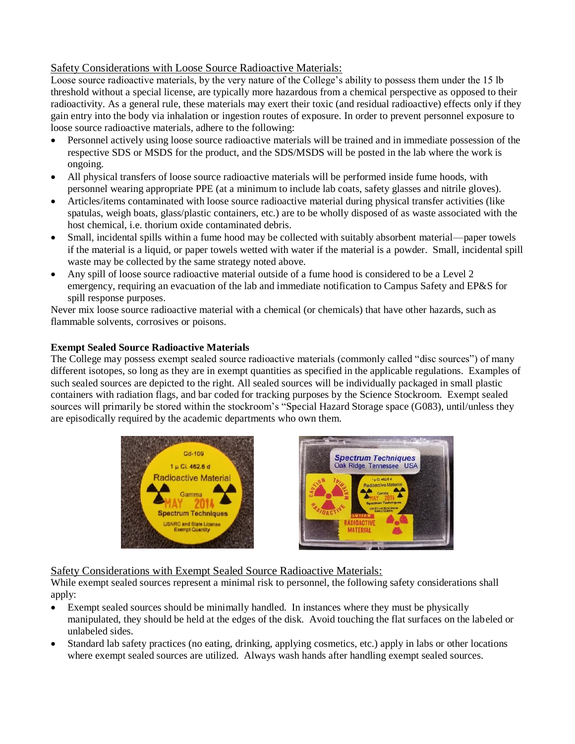#### Safety Considerations with Loose Source Radioactive Materials:

Loose source radioactive materials, by the very nature of the College's ability to possess them under the 15 lb threshold without a special license, are typically more hazardous from a chemical perspective as opposed to their radioactivity. As a general rule, these materials may exert their toxic (and residual radioactive) effects only if they gain entry into the body via inhalation or ingestion routes of exposure. In order to prevent personnel exposure to loose source radioactive materials, adhere to the following:

- Personnel actively using loose source radioactive materials will be trained and in immediate possession of the respective SDS or MSDS for the product, and the SDS/MSDS will be posted in the lab where the work is ongoing.
- All physical transfers of loose source radioactive materials will be performed inside fume hoods, with personnel wearing appropriate PPE (at a minimum to include lab coats, safety glasses and nitrile gloves).
- Articles/items contaminated with loose source radioactive material during physical transfer activities (like spatulas, weigh boats, glass/plastic containers, etc.) are to be wholly disposed of as waste associated with the host chemical, i.e. thorium oxide contaminated debris.
- Small, incidental spills within a fume hood may be collected with suitably absorbent material—paper towels if the material is a liquid, or paper towels wetted with water if the material is a powder. Small, incidental spill waste may be collected by the same strategy noted above.
- Any spill of loose source radioactive material outside of a fume hood is considered to be a Level 2 emergency, requiring an evacuation of the lab and immediate notification to Campus Safety and EP&S for spill response purposes.

Never mix loose source radioactive material with a chemical (or chemicals) that have other hazards, such as flammable solvents, corrosives or poisons.

#### **Exempt Sealed Source Radioactive Materials**

The College may possess exempt sealed source radioactive materials (commonly called "disc sources") of many different isotopes, so long as they are in exempt quantities as specified in the applicable regulations. Examples of such sealed sources are depicted to the right. All sealed sources will be individually packaged in small plastic containers with radiation flags, and bar coded for tracking purposes by the Science Stockroom. Exempt sealed sources will primarily be stored within the stockroom's "Special Hazard Storage space (G083), until/unless they are episodically required by the academic departments who own them.





Safety Considerations with Exempt Sealed Source Radioactive Materials:

While exempt sealed sources represent a minimal risk to personnel, the following safety considerations shall apply:

- Exempt sealed sources should be minimally handled. In instances where they must be physically manipulated, they should be held at the edges of the disk. Avoid touching the flat surfaces on the labeled or unlabeled sides.
- Standard lab safety practices (no eating, drinking, applying cosmetics, etc.) apply in labs or other locations where exempt sealed sources are utilized. Always wash hands after handling exempt sealed sources.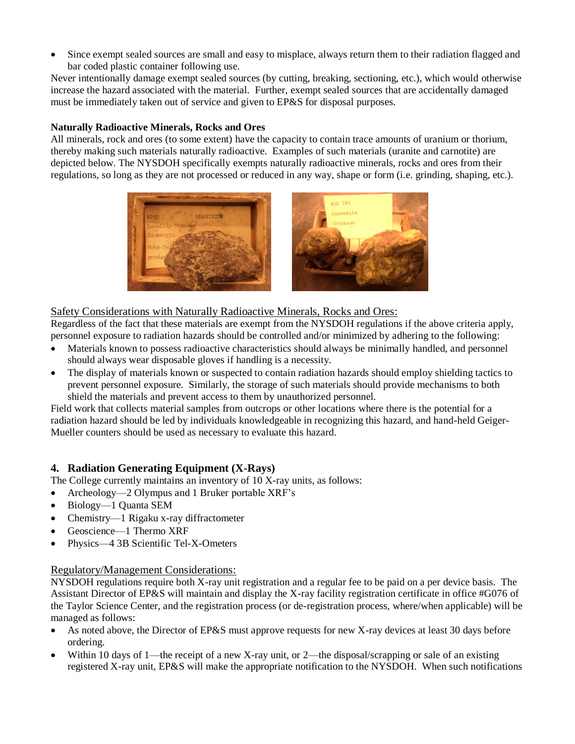• Since exempt sealed sources are small and easy to misplace, always return them to their radiation flagged and bar coded plastic container following use.

Never intentionally damage exempt sealed sources (by cutting, breaking, sectioning, etc.), which would otherwise increase the hazard associated with the material. Further, exempt sealed sources that are accidentally damaged must be immediately taken out of service and given to EP&S for disposal purposes.

#### **Naturally Radioactive Minerals, Rocks and Ores**

All minerals, rock and ores (to some extent) have the capacity to contain trace amounts of uranium or thorium, thereby making such materials naturally radioactive. Examples of such materials (uranite and carnotite) are depicted below. The NYSDOH specifically exempts naturally radioactive minerals, rocks and ores from their regulations, so long as they are not processed or reduced in any way, shape or form (i.e. grinding, shaping, etc.).



#### Safety Considerations with Naturally Radioactive Minerals, Rocks and Ores:

Regardless of the fact that these materials are exempt from the NYSDOH regulations if the above criteria apply, personnel exposure to radiation hazards should be controlled and/or minimized by adhering to the following:

- Materials known to possess radioactive characteristics should always be minimally handled, and personnel should always wear disposable gloves if handling is a necessity.
- The display of materials known or suspected to contain radiation hazards should employ shielding tactics to prevent personnel exposure. Similarly, the storage of such materials should provide mechanisms to both shield the materials and prevent access to them by unauthorized personnel.

Field work that collects material samples from outcrops or other locations where there is the potential for a radiation hazard should be led by individuals knowledgeable in recognizing this hazard, and hand-held Geiger-Mueller counters should be used as necessary to evaluate this hazard.

## **4. Radiation Generating Equipment (X-Rays)**

The College currently maintains an inventory of 10 X-ray units, as follows:

- Archeology—2 Olympus and 1 Bruker portable XRF's
- Biology—1 Quanta SEM
- Chemistry—1 Rigaku x-ray diffractometer
- Geoscience—1 Thermo XRF
- Physics—4 3B Scientific Tel-X-Ometers

#### Regulatory/Management Considerations:

NYSDOH regulations require both X-ray unit registration and a regular fee to be paid on a per device basis. The Assistant Director of EP&S will maintain and display the X-ray facility registration certificate in office #G076 of the Taylor Science Center, and the registration process (or de-registration process, where/when applicable) will be managed as follows:

- As noted above, the Director of EP&S must approve requests for new X-ray devices at least 30 days before ordering.
- Within 10 days of 1—the receipt of a new X-ray unit, or 2—the disposal/scrapping or sale of an existing registered X-ray unit, EP&S will make the appropriate notification to the NYSDOH. When such notifications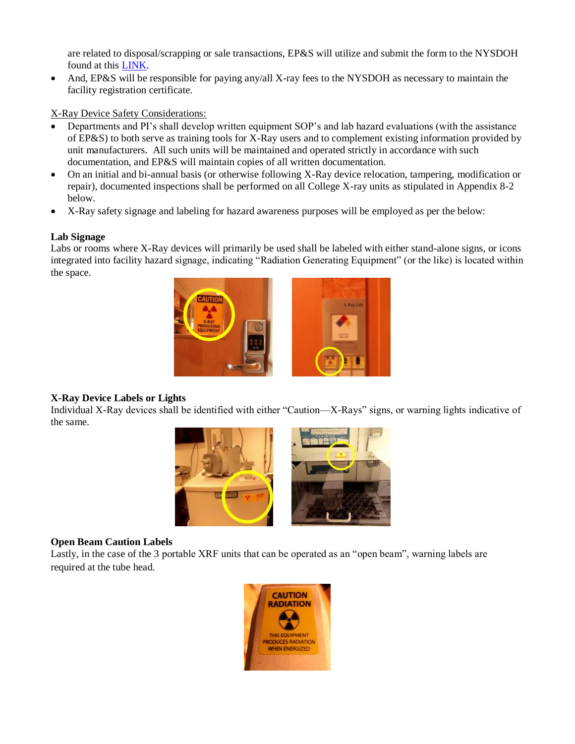are related to disposal/scrapping or sale transactions, EP&S will utilize and submit the form to the NYSDOH found at this [LINK.](https://www.health.ny.gov/forms/doh-2126.pdf)

• And, EP&S will be responsible for paying any/all X-ray fees to the NYSDOH as necessary to maintain the facility registration certificate.

X-Ray Device Safety Considerations:

- Departments and PI's shall develop written equipment SOP's and lab hazard evaluations (with the assistance of EP&S) to both serve as training tools for X-Ray users and to complement existing information provided by unit manufacturers. All such units will be maintained and operated strictly in accordance with such documentation, and EP&S will maintain copies of all written documentation.
- On an initial and bi-annual basis (or otherwise following X-Ray device relocation, tampering, modification or repair), documented inspections shall be performed on all College X-ray units as stipulated in Appendix 8-2 below.
- X-Ray safety signage and labeling for hazard awareness purposes will be employed as per the below:

#### **Lab Signage**

Labs or rooms where X-Ray devices will primarily be used shall be labeled with either stand-alone signs, or icons integrated into facility hazard signage, indicating "Radiation Generating Equipment" (or the like) is located within the space.



## **X-Ray Device Labels or Lights**

Individual X-Ray devices shall be identified with either "Caution—X-Rays" signs, or warning lights indicative of the same.



## **Open Beam Caution Labels**

Lastly, in the case of the 3 portable XRF units that can be operated as an "open beam", warning labels are required at the tube head.

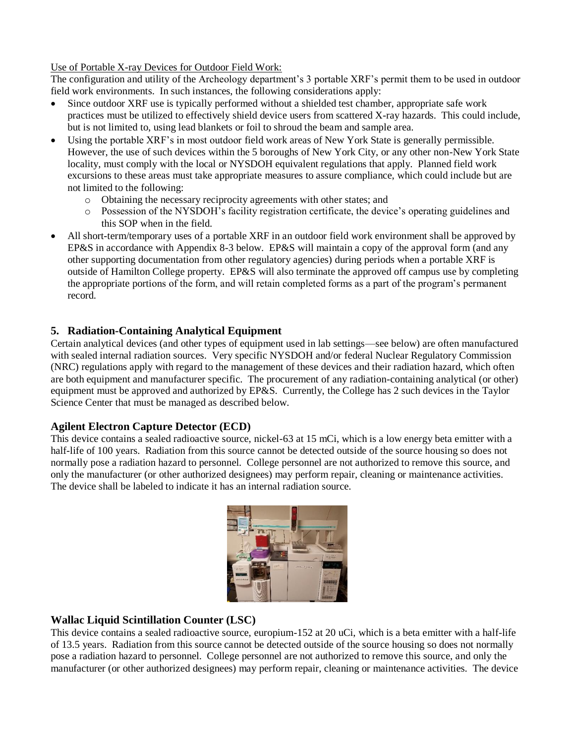Use of Portable X-ray Devices for Outdoor Field Work:

The configuration and utility of the Archeology department's 3 portable XRF's permit them to be used in outdoor field work environments. In such instances, the following considerations apply:

- Since outdoor XRF use is typically performed without a shielded test chamber, appropriate safe work practices must be utilized to effectively shield device users from scattered X-ray hazards. This could include, but is not limited to, using lead blankets or foil to shroud the beam and sample area.
- Using the portable XRF's in most outdoor field work areas of New York State is generally permissible. However, the use of such devices within the 5 boroughs of New York City, or any other non-New York State locality, must comply with the local or NYSDOH equivalent regulations that apply. Planned field work excursions to these areas must take appropriate measures to assure compliance, which could include but are not limited to the following:
	- o Obtaining the necessary reciprocity agreements with other states; and
	- o Possession of the NYSDOH's facility registration certificate, the device's operating guidelines and this SOP when in the field.
- All short-term/temporary uses of a portable XRF in an outdoor field work environment shall be approved by EP&S in accordance with Appendix 8-3 below. EP&S will maintain a copy of the approval form (and any other supporting documentation from other regulatory agencies) during periods when a portable XRF is outside of Hamilton College property. EP&S will also terminate the approved off campus use by completing the appropriate portions of the form, and will retain completed forms as a part of the program's permanent record.

## **5. Radiation-Containing Analytical Equipment**

Certain analytical devices (and other types of equipment used in lab settings—see below) are often manufactured with sealed internal radiation sources. Very specific NYSDOH and/or federal Nuclear Regulatory Commission (NRC) regulations apply with regard to the management of these devices and their radiation hazard, which often are both equipment and manufacturer specific. The procurement of any radiation-containing analytical (or other) equipment must be approved and authorized by EP&S. Currently, the College has 2 such devices in the Taylor Science Center that must be managed as described below.

## **Agilent Electron Capture Detector (ECD)**

This device contains a sealed radioactive source, nickel-63 at 15 mCi, which is a low energy beta emitter with a half-life of 100 years. Radiation from this source cannot be detected outside of the source housing so does not normally pose a radiation hazard to personnel. College personnel are not authorized to remove this source, and only the manufacturer (or other authorized designees) may perform repair, cleaning or maintenance activities. The device shall be labeled to indicate it has an internal radiation source.



## **Wallac Liquid Scintillation Counter (LSC)**

This device contains a sealed radioactive source, europium-152 at 20 uCi, which is a beta emitter with a half-life of 13.5 years. Radiation from this source cannot be detected outside of the source housing so does not normally pose a radiation hazard to personnel. College personnel are not authorized to remove this source, and only the manufacturer (or other authorized designees) may perform repair, cleaning or maintenance activities. The device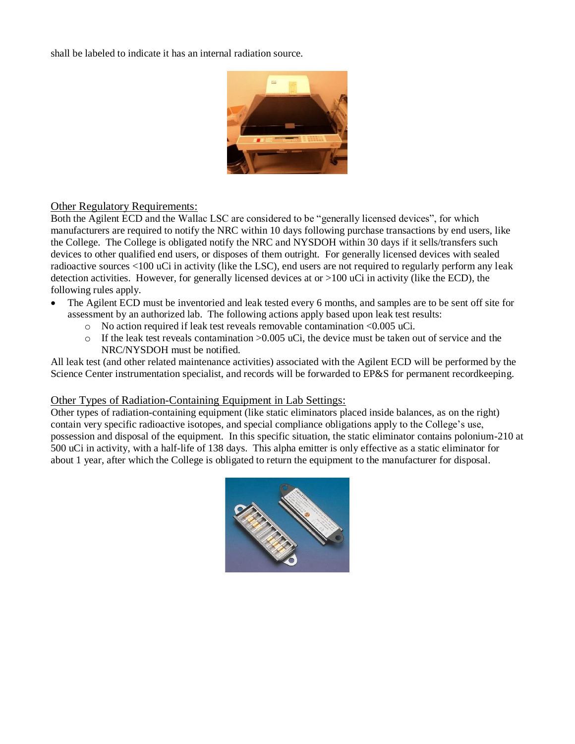shall be labeled to indicate it has an internal radiation source.



#### Other Regulatory Requirements:

Both the Agilent ECD and the Wallac LSC are considered to be "generally licensed devices", for which manufacturers are required to notify the NRC within 10 days following purchase transactions by end users, like the College. The College is obligated notify the NRC and NYSDOH within 30 days if it sells/transfers such devices to other qualified end users, or disposes of them outright. For generally licensed devices with sealed radioactive sources <100 uCi in activity (like the LSC), end users are not required to regularly perform any leak detection activities. However, for generally licensed devices at or >100 uCi in activity (like the ECD), the following rules apply.

- The Agilent ECD must be inventoried and leak tested every 6 months, and samples are to be sent off site for assessment by an authorized lab. The following actions apply based upon leak test results:
	- o No action required if leak test reveals removable contamination <0.005 uCi.
	- $\circ$  If the leak test reveals contamination >0.005 uCi, the device must be taken out of service and the NRC/NYSDOH must be notified.

All leak test (and other related maintenance activities) associated with the Agilent ECD will be performed by the Science Center instrumentation specialist, and records will be forwarded to EP&S for permanent recordkeeping.

#### Other Types of Radiation-Containing Equipment in Lab Settings:

Other types of radiation-containing equipment (like static eliminators placed inside balances, as on the right) contain very specific radioactive isotopes, and special compliance obligations apply to the College's use, possession and disposal of the equipment. In this specific situation, the static eliminator contains polonium-210 at 500 uCi in activity, with a half-life of 138 days. This alpha emitter is only effective as a static eliminator for about 1 year, after which the College is obligated to return the equipment to the manufacturer for disposal.

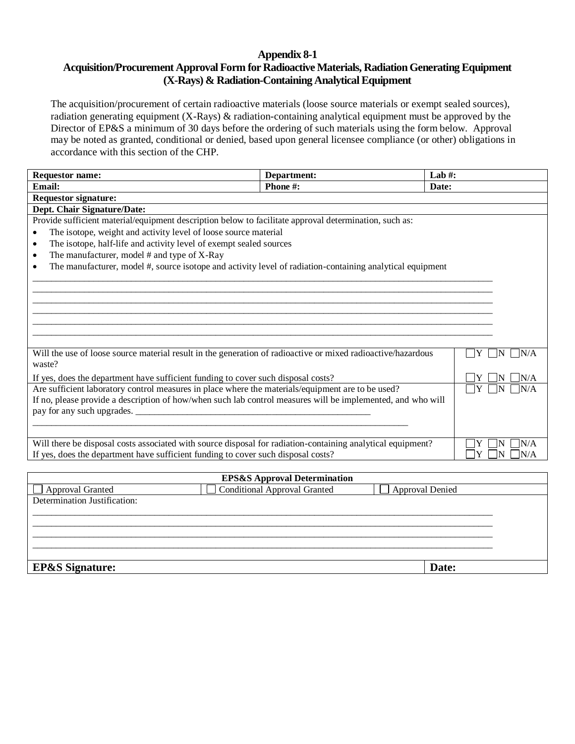#### **Appendix 8-1**

#### **Acquisition/Procurement Approval Form for Radioactive Materials, Radiation Generating Equipment (X-Rays) & Radiation-Containing Analytical Equipment**

The acquisition/procurement of certain radioactive materials (loose source materials or exempt sealed sources), radiation generating equipment (X-Rays) & radiation-containing analytical equipment must be approved by the Director of EP&S a minimum of 30 days before the ordering of such materials using the form below. Approval may be noted as granted, conditional or denied, based upon general licensee compliance (or other) obligations in accordance with this section of the CHP.

| <b>Requestor name:</b>                                                                                                 | Department:                           | Lab#:          |
|------------------------------------------------------------------------------------------------------------------------|---------------------------------------|----------------|
| <b>Email:</b>                                                                                                          | Phone #:                              | Date:          |
| <b>Requestor signature:</b>                                                                                            |                                       |                |
| Dept. Chair Signature/Date:                                                                                            |                                       |                |
| Provide sufficient material/equipment description below to facilitate approval determination, such as:                 |                                       |                |
| The isotope, weight and activity level of loose source material<br>$\bullet$                                           |                                       |                |
| The isotope, half-life and activity level of exempt sealed sources<br>$\bullet$                                        |                                       |                |
| The manufacturer, model $#$ and type of $X$ -Ray<br>$\bullet$                                                          |                                       |                |
| The manufacturer, model #, source isotope and activity level of radiation-containing analytical equipment<br>$\bullet$ |                                       |                |
|                                                                                                                        |                                       |                |
|                                                                                                                        |                                       |                |
|                                                                                                                        |                                       |                |
|                                                                                                                        |                                       |                |
|                                                                                                                        |                                       |                |
|                                                                                                                        |                                       |                |
|                                                                                                                        |                                       |                |
| Will the use of loose source material result in the generation of radioactive or mixed radioactive/hazardous           |                                       | Y<br>N/A<br>IN |
| waste?                                                                                                                 |                                       |                |
| If yes, does the department have sufficient funding to cover such disposal costs?                                      |                                       | N/A            |
| Are sufficient laboratory control measures in place where the materials/equipment are to be used?                      |                                       |                |
| If no, please provide a description of how/when such lab control measures will be implemented, and who will            |                                       |                |
| pay for any such upgrades.                                                                                             | <u> 1980 - Jan Barbarat, martin a</u> |                |
|                                                                                                                        |                                       |                |
|                                                                                                                        |                                       |                |
| Will there be disposal costs associated with source disposal for radiation-containing analytical equipment?            |                                       | N/A            |
| If yes, does the department have sufficient funding to cover such disposal costs?                                      |                                       | N/A            |

| <b>EPS&amp;S Approval Determination</b> |                                     |                        |  |
|-----------------------------------------|-------------------------------------|------------------------|--|
| $\Box$ Approval Granted                 | <b>Conditional Approval Granted</b> | <b>Approval Denied</b> |  |
| Determination Justification:            |                                     |                        |  |
|                                         |                                     |                        |  |
|                                         |                                     |                        |  |
|                                         |                                     |                        |  |
|                                         |                                     |                        |  |
|                                         |                                     |                        |  |
| <b>EP&amp;S</b> Signature:              |                                     | Date:                  |  |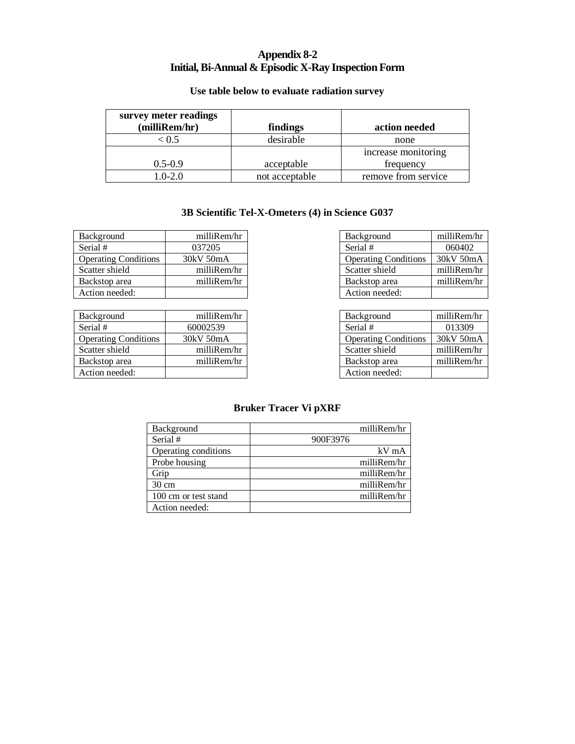## **Appendix 8-2 Initial, Bi-Annual & Episodic X-Ray Inspection Form**

## **Use table below to evaluate radiation survey**

| survey meter readings<br>(milliRem/hr) | findings       | action needed       |
|----------------------------------------|----------------|---------------------|
| 0.5                                    | desirable      | none                |
|                                        |                | increase monitoring |
| $0.5 - 0.9$                            | acceptable     | frequency           |
| $.0 - 2.0$                             | not acceptable | remove from service |

#### **3B Scientific Tel-X-Ometers (4) in Science G037**

| Background                  | milliRem/hr |
|-----------------------------|-------------|
| Serial #                    | 037205      |
| <b>Operating Conditions</b> | 30kV 50mA   |
| Scatter shield              | milliRem/hr |
| Backstop area               | milliRem/hr |
| Action needed:              |             |

| Background                  | milliRem/hr |
|-----------------------------|-------------|
| Serial #                    | 60002539    |
| <b>Operating Conditions</b> | 30kV 50mA   |
| Scatter shield              | milliRem/hr |
| Backstop area               | milliRem/hr |
| Action needed:              |             |

| Background                  | milliRem/hr |
|-----------------------------|-------------|
| Serial #                    | 060402      |
| <b>Operating Conditions</b> | 30kV 50mA   |
| Scatter shield              | milliRem/hr |
| Backstop area               | milliRem/hr |
| Action needed:              |             |

| Background                  | milliRem/hr |
|-----------------------------|-------------|
| Serial #                    | 013309      |
| <b>Operating Conditions</b> | 30kV 50mA   |
| Scatter shield              | milliRem/hr |
| Backstop area               | milliRem/hr |
| Action needed:              |             |

#### **Bruker Tracer Vi pXRF**

| Background           | milliRem/hr |
|----------------------|-------------|
| Serial #             | 900F3976    |
| Operating conditions | $kV$ mA     |
| Probe housing        | milliRem/hr |
| Grip                 | milliRem/hr |
| $30 \text{ cm}$      | milliRem/hr |
| 100 cm or test stand | milliRem/hr |
| Action needed:       |             |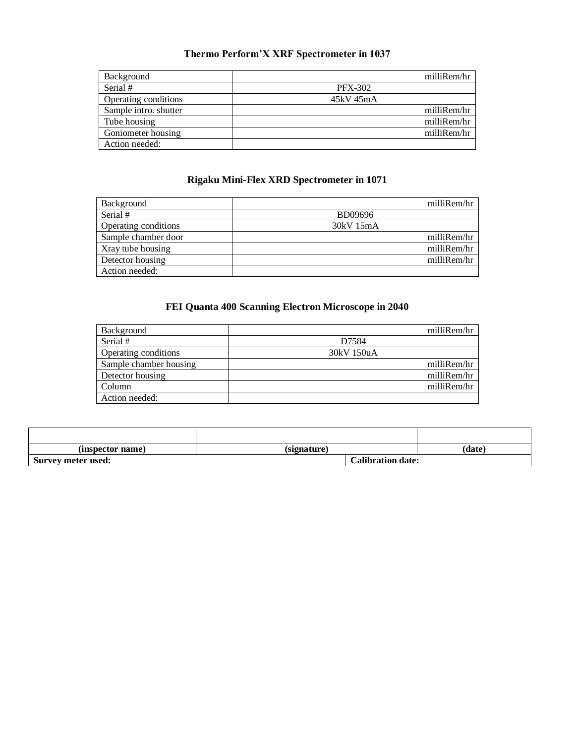# **Thermo Perform'X XRF Spectrometer in 1037**

| Background            | milliRem/hr    |
|-----------------------|----------------|
| Serial #              | <b>PFX-302</b> |
| Operating conditions  | 45kV 45mA      |
| Sample intro. shutter | milliRem/hr    |
| Tube housing          | milliRem/hr    |
| Goniometer housing    | milliRem/hr    |
| Action needed:        |                |

## **Rigaku Mini-Flex XRD Spectrometer in 1071**

| Background           | milliRem/hr |
|----------------------|-------------|
| Serial #             | BD09696     |
| Operating conditions | 30kV 15mA   |
| Sample chamber door  | milliRem/hr |
| Xray tube housing    | milliRem/hr |
| Detector housing     | milliRem/hr |
| Action needed:       |             |

# **FEI Quanta 400 Scanning Electron Microscope in 2040**

| Background             | milliRem/hr |
|------------------------|-------------|
| Serial #               | D7584       |
| Operating conditions   | 30kV 150uA  |
| Sample chamber housing | milliRem/hr |
| Detector housing       | milliRem/hr |
| Column                 | milliRem/hr |
| Action needed:         |             |

| (inspector name)   | (signature)              | (date) |
|--------------------|--------------------------|--------|
| Survey meter used: | <b>Calibration date:</b> |        |